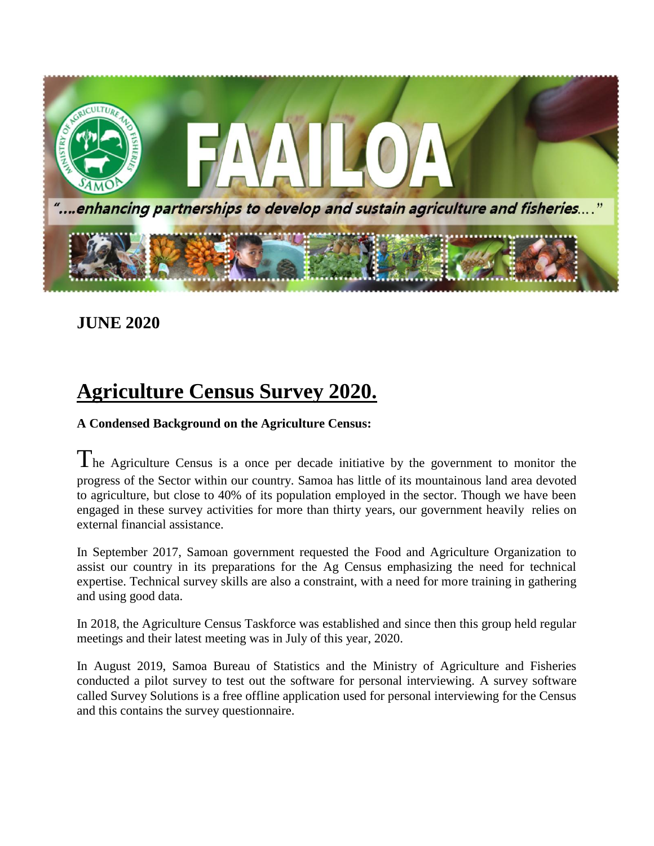

### **JUNE 2020**

## **Agriculture Census Survey 2020.**

#### **A Condensed Background on the Agriculture Census:**

The Agriculture Census is a once per decade initiative by the government to monitor the progress of the Sector within our country. Samoa has little of its mountainous land area devoted to agriculture, but close to 40% of its population employed in the sector. Though we have been engaged in these survey activities for more than thirty years, our government heavily relies on external financial assistance.

In September 2017, Samoan government requested the Food and Agriculture Organization to assist our country in its preparations for the Ag Census emphasizing the need for technical expertise. Technical survey skills are also a constraint, with a need for more training in gathering and using good data.

In 2018, the Agriculture Census Taskforce was established and since then this group held regular meetings and their latest meeting was in July of this year, 2020.

In August 2019, Samoa Bureau of Statistics and the Ministry of Agriculture and Fisheries conducted a pilot survey to test out the software for personal interviewing. A survey software called Survey Solutions is a free offline application used for personal interviewing for the Census and this contains the survey questionnaire.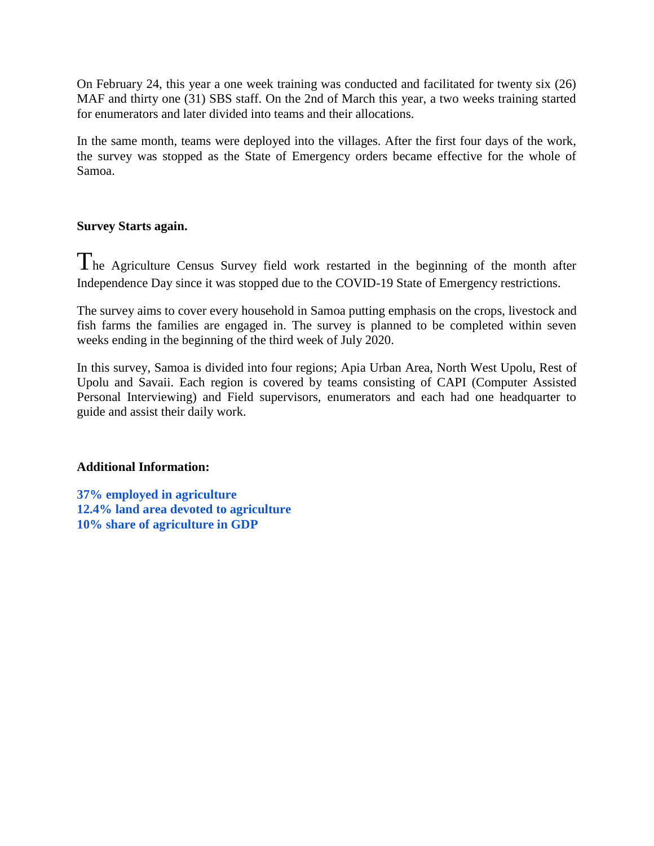On February 24, this year a one week training was conducted and facilitated for twenty six (26) MAF and thirty one (31) SBS staff. On the 2nd of March this year, a two weeks training started for enumerators and later divided into teams and their allocations.

In the same month, teams were deployed into the villages. After the first four days of the work, the survey was stopped as the State of Emergency orders became effective for the whole of Samoa.

#### **Survey Starts again.**

The Agriculture Census Survey field work restarted in the beginning of the month after Independence Day since it was stopped due to the COVID-19 State of Emergency restrictions.

The survey aims to cover every household in Samoa putting emphasis on the crops, livestock and fish farms the families are engaged in. The survey is planned to be completed within seven weeks ending in the beginning of the third week of July 2020.

In this survey, Samoa is divided into four regions; Apia Urban Area, North West Upolu, Rest of Upolu and Savaii. Each region is covered by teams consisting of CAPI (Computer Assisted Personal Interviewing) and Field supervisors, enumerators and each had one headquarter to guide and assist their daily work.

#### **Additional Information:**

**37% employed in agriculture 12.4% land area devoted to agriculture 10% share of agriculture in GDP**